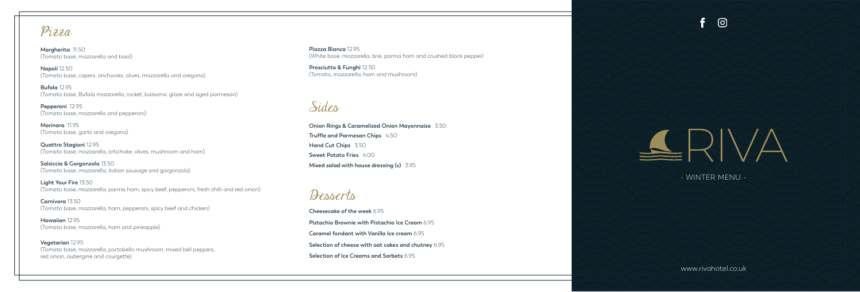## Sides

**Onion Rings & Caramelized Onion Mayonnaise** 3.50 **Truffle and Parmesan Chips** 4.50 **Hand Cut Chips** 3.50 **Sweet Potato Fries** 4.00 **Mixed salad with house dressing (v)** 3.95

**Vegetarian** 12.95 (Tomato base, mozzarella, portobello mushroom, mixed bell peppers, red onion, aubergine and courgette)

**Piazza Bianca** 12.95 (White base, mozzarella, brie, parma ham and crushed black pepper)

**Marinara** 1195 (Tomato base, garlic and oregano)

**Prosciutto & Funghi** 12.50 (Tomato, mozzarella, ham and mushroom)

Pizza

**Margherita** 11.50 (Tomato base, mozzarella and basil)

**Napoli** 12.50 (Tomato base, capers, anchovies, olives, mozzarella and oregano)

**Pepperoni** 12.95 (Tomato base, mozzarella and pepperoni)

**Quattro Stagioni** 12.95 (Tomato base, mozzarella, artichoke, olives, mushroom and ham)

**Salsiccia & Gorgonzola** 13.50 (Tomato base, mozzarella, italian sausage and gorgonzola)

**Light Your Fire** 13.50 (Tomato base, mozzarella, parma ham, spicy beef, pepperoni, fresh chilli and red onion)

**Carnivora** 13.50 (Tomato base, mozzarella, ham, pepperoni, spicy beef and chicken)

**Hawaiian** 12.95 (Tomato base, mozzarella, ham and pineapple)

**Bufala** 12.95 (Tomato base, Bufala mozzarella, rocket, balsamic glaze and aged parmesan)

Desserts

**Cheesecake of the week** 6.95 **Pistachio Brownie with Pistachio Ice Cream** 6.95 **Caramel fondant with Vanilla Ice cream** 6.95 **Selection of cheese with oat cakes and chutney** 6.95 **Selection of Ice Creams and Sorbets** 6.95

€ ග

SSRIVA

www.rivahotel.co.uk

- WINTER MENU -